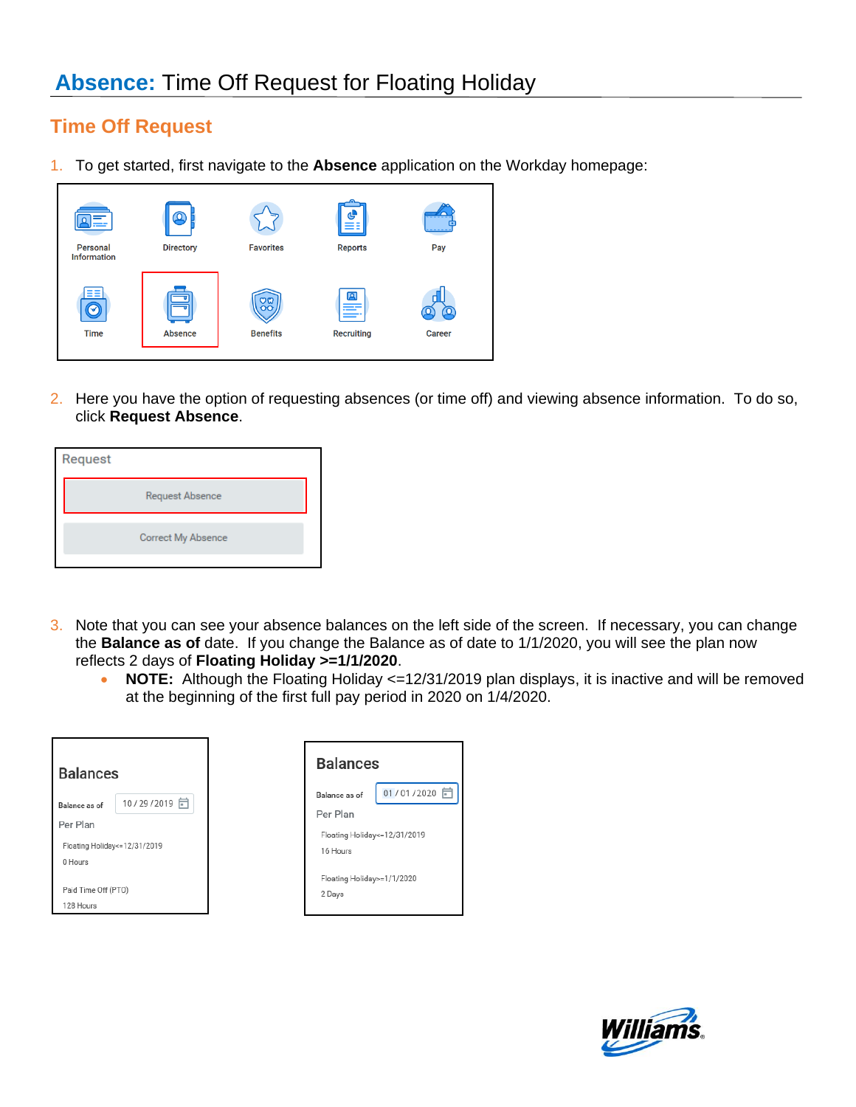## **Time Off Request**

1. To get started, first navigate to the **Absence** application on the Workday homepage:



2. Here you have the option of requesting absences (or time off) and viewing absence information. To do so, click **Request Absence**.

| Request |                        |  |
|---------|------------------------|--|
|         | <b>Request Absence</b> |  |
|         | Correct My Absence     |  |
|         |                        |  |

- 3. Note that you can see your absence balances on the left side of the screen. If necessary, you can change the **Balance as of** date. If you change the Balance as of date to 1/1/2020, you will see the plan now reflects 2 days of **Floating Holiday >=1/1/2020**.
	- **NOTE:** Although the Floating Holiday <=12/31/2019 plan displays, it is inactive and will be removed at the beginning of the first full pay period in 2020 on 1/4/2020.

| <b>Balances</b>                             |              | <b>Balance</b>                     |
|---------------------------------------------|--------------|------------------------------------|
| Balance as of                               | 10/29/2019 日 | Balance as of<br>Per Plan          |
| Per Plan<br>Floating Holiday <= 12/31/2019  |              | <b>Floating Holida</b><br>16 Hours |
| 0 Hours<br>Paid Time Off (PTO)<br>128 Hours |              | <b>Floating Holida</b><br>2 Days   |



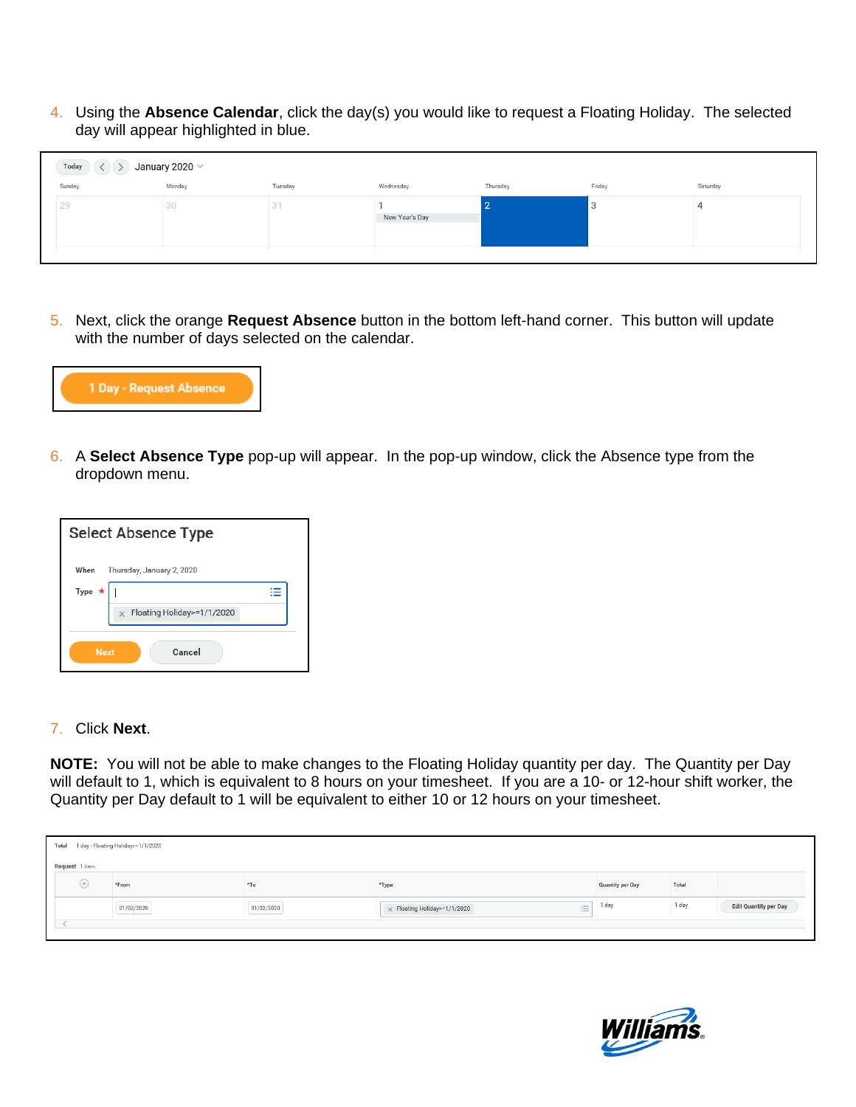4. Using the **Absence Calendar**, click the day(s) you would like to request a Floating Holiday. The selected day will appear highlighted in blue.

| $\sim$ $\sim$<br>Today<br>January 2020 $\vee$ |        |         |                |          |        |          |
|-----------------------------------------------|--------|---------|----------------|----------|--------|----------|
| Sunday                                        | Monday | Tuesday | Wednesday      | Thursday | Friday | Saturday |
| 29                                            | 30     | 31      | New Year's Day | ╺        | З      |          |

5. Next, click the orange **Request Absence** button in the bottom left-hand corner. This button will update with the number of days selected on the calendar.



6. A **Select Absence Type** pop-up will appear. In the pop-up window, click the Absence type from the dropdown menu.



## 7. Click **Next**.

**NOTE:** You will not be able to make changes to the Floating Holiday quantity per day. The Quantity per Day will default to 1, which is equivalent to 8 hours on your timesheet. If you are a 10- or 12-hour shift worker, the Quantity per Day default to 1 will be equivalent to either 10 or 12 hours on your timesheet.

| Total |                | 1 day - Floating Holiday>=1/1/2020 |            |                                                 |                  |       |                       |
|-------|----------------|------------------------------------|------------|-------------------------------------------------|------------------|-------|-----------------------|
|       | Request 1 item |                                    |            |                                                 |                  |       |                       |
|       | $(+)$          | *From                              | $*To$      | *Type                                           | Quantity per Day | Total |                       |
|       |                | 01/02/2020                         | 01/02/2020 | $\equiv$<br>$\times$ Floating Holiday>=1/1/2020 | 1 day            | 1 day | Edit Quantity per Day |
|       |                |                                    |            |                                                 |                  |       |                       |